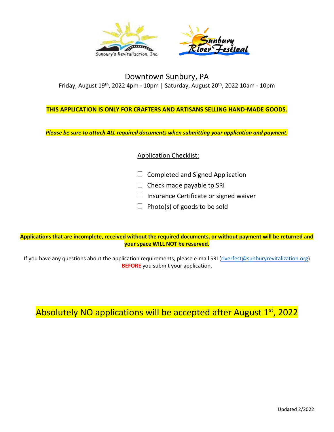

### Downtown Sunbury, PA Friday, August 19<sup>th</sup>, 2022 4pm - 10pm | Saturday, August 20<sup>th</sup>, 2022 10am - 10pm

#### **THIS APPLICATION IS ONLY FOR CRAFTERS AND ARTISANS SELLING HAND-MADE GOODS.**

*Please be sure to attach ALL required documents when submitting your application and payment.* 

### Application Checklist:

- $\Box$  Completed and Signed Application
- $\Box$  Check made payable to SRI
- $\Box$  Insurance Certificate or signed waiver
- $\Box$  Photo(s) of goods to be sold

**Applications that are incomplete, received without the required documents, or without payment will be returned and your space WILL NOT be reserved.**

If you have any questions about the application requirements, please e-mail SRI [\(riverfest@sunburyrevitalization.org\)](mailto:riverfest@sunburyrevitalization.org) **BEFORE** you submit your application.

## Absolutely NO applications will be accepted after August 1st, 2022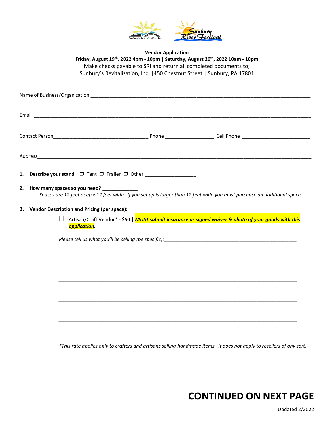

**Vendor Application Friday, August 19 th, 2022 4pm - 10pm | Saturday, August 20th, 2022 10am - 10pm** Make checks payable to SRI and return all completed documents to; Sunbury's Revitalization, Inc. |450 Chestnut Street | Sunbury, PA 17801

| Name of Business/Organization <b>contained a manufacture of the contact of the contact of the contact of the contact of the contact of the contact of the contact of the contact of the contact of the contact of the contact of</b> |                                                                                                                                                                      |  |                                                                                   |  |  |  |  |  |
|--------------------------------------------------------------------------------------------------------------------------------------------------------------------------------------------------------------------------------------|----------------------------------------------------------------------------------------------------------------------------------------------------------------------|--|-----------------------------------------------------------------------------------|--|--|--|--|--|
|                                                                                                                                                                                                                                      |                                                                                                                                                                      |  |                                                                                   |  |  |  |  |  |
|                                                                                                                                                                                                                                      |                                                                                                                                                                      |  |                                                                                   |  |  |  |  |  |
|                                                                                                                                                                                                                                      |                                                                                                                                                                      |  |                                                                                   |  |  |  |  |  |
|                                                                                                                                                                                                                                      |                                                                                                                                                                      |  | 1. Describe your stand $\Box$ Tent $\Box$ Trailer $\Box$ Other __________________ |  |  |  |  |  |
| 2.                                                                                                                                                                                                                                   | How many spaces so you need? ___________<br>Spaces are 12 feet deep x 12 feet wide. If you set up is larger than 12 feet wide you must purchase an additional space. |  |                                                                                   |  |  |  |  |  |
|                                                                                                                                                                                                                                      | 3. Vendor Description and Pricing (per space):                                                                                                                       |  |                                                                                   |  |  |  |  |  |
|                                                                                                                                                                                                                                      | Artisan/Craft Vendor* - \$50   MUST submit insurance or signed waiver & photo of your goods with this<br>application.                                                |  |                                                                                   |  |  |  |  |  |
|                                                                                                                                                                                                                                      |                                                                                                                                                                      |  |                                                                                   |  |  |  |  |  |
|                                                                                                                                                                                                                                      |                                                                                                                                                                      |  |                                                                                   |  |  |  |  |  |
|                                                                                                                                                                                                                                      |                                                                                                                                                                      |  |                                                                                   |  |  |  |  |  |
|                                                                                                                                                                                                                                      |                                                                                                                                                                      |  |                                                                                   |  |  |  |  |  |
|                                                                                                                                                                                                                                      |                                                                                                                                                                      |  |                                                                                   |  |  |  |  |  |
|                                                                                                                                                                                                                                      |                                                                                                                                                                      |  |                                                                                   |  |  |  |  |  |

*\*This rate applies only to crafters and artisans selling handmade items. It does not apply to resellers of any sort.*

# **CONTINUED ON NEXT PAGE**

Updated 2/2022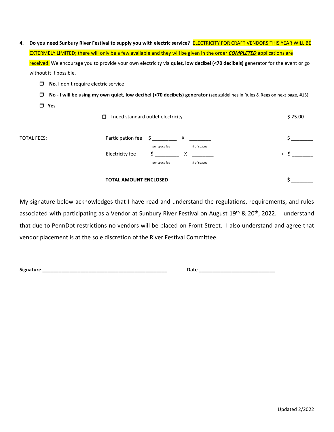| 4. Do you need Sunbury River Festival to supply you with electric service? ELECTRICITY FOR CRAFT VENDORS THIS YEAR WILL BE  |                                                                                                                                |  |  |  |
|-----------------------------------------------------------------------------------------------------------------------------|--------------------------------------------------------------------------------------------------------------------------------|--|--|--|
| <b>EXTERMELY LIMITED; there will only be a few available and they will be given in the order COMPLETED applications are</b> |                                                                                                                                |  |  |  |
|                                                                                                                             |                                                                                                                                |  |  |  |
| without it if possible.                                                                                                     |                                                                                                                                |  |  |  |
|                                                                                                                             | received. We encourage you to provide your own electricity via quiet, low decibel (<70 decibels) generator for the event or go |  |  |  |

- ❒ **No**, I don't require electric service
- ❒ **No - I will be using my own quiet, low decibel (<70 decibels) generator** (see guidelines in Rules & Regs on next page, #15)
- ❒ **Yes**

|                    | I need standard outlet electricity<br>0                                               | \$25.00 |
|--------------------|---------------------------------------------------------------------------------------|---------|
| <b>TOTAL FEES:</b> | Participation fee \$ ___________ X _________                                          |         |
|                    | # of spaces<br>per space fee<br>Electricity fee<br>X.<br># of spaces<br>per space fee | $+$     |
|                    | <b>TOTAL AMOUNT ENCLOSED</b>                                                          |         |

My signature below acknowledges that I have read and understand the regulations, requirements, and rules associated with participating as a Vendor at Sunbury River Festival on August 19<sup>th</sup> & 20<sup>th</sup>, 2022. I understand that due to PennDot restrictions no vendors will be placed on Front Street. I also understand and agree that vendor placement is at the sole discretion of the River Festival Committee.

**Signature \_\_\_\_\_\_\_\_\_\_\_\_\_\_\_\_\_\_\_\_\_\_\_\_\_\_\_\_\_\_\_\_\_\_\_\_\_\_\_\_\_\_\_\_\_\_ Date \_\_\_\_\_\_\_\_\_\_\_\_\_\_\_\_\_\_\_\_\_\_\_\_\_\_\_\_**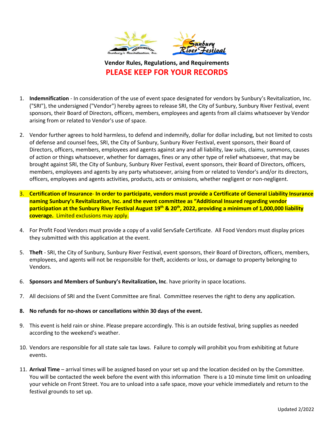

**Vendor Rules, Regulations, and Requirements PLEASE KEEP FOR YOUR RECORDS**

- 1. **Indemnification** In consideration of the use of event space designated for vendors by Sunbury's Revitalization, Inc. ("SRI"), the undersigned ("Vendor") hereby agrees to release SRI, the City of Sunbury, Sunbury River Festival, event sponsors, their Board of Directors, officers, members, employees and agents from all claims whatsoever by Vendor arising from or related to Vendor's use of space.
- 2. Vendor further agrees to hold harmless, to defend and indemnify, dollar for dollar including, but not limited to costs of defense and counsel fees, SRI, the City of Sunbury, Sunbury River Festival, event sponsors, their Board of Directors, officers, members, employees and agents against any and all liability, law suits, claims, summons, causes of action or things whatsoever, whether for damages, fines or any other type of relief whatsoever, that may be brought against SRI, the City of Sunbury, Sunbury River Festival, event sponsors, their Board of Directors, officers, members, employees and agents by any party whatsoever, arising from or related to Vendor's and/or its directors, officers, employees and agents activities, products, acts or omissions, whether negligent or non-negligent.
- 3. **Certification of Insurance In order to participate, vendors must provide a Certificate of General Liability Insurance naming Sunbury's Revitalization, Inc. and the event committee as "Additional Insured regarding vendor participation at the Sunbury River Festival August 19 th & 20th, 2022, providing a minimum of 1,000,000 liability coverage.** Limited exclusions may apply.
- 4. For Profit Food Vendors must provide a copy of a valid ServSafe Certificate. All Food Vendors must display prices they submitted with this application at the event.
- 5. **Theft** SRI, the City of Sunbury, Sunbury River Festival, event sponsors, their Board of Directors, officers, members, employees, and agents will not be responsible for theft, accidents or loss, or damage to property belonging to Vendors.
- 6. **Sponsors and Members of Sunbury's Revitalization, Inc**. have priority in space locations.
- 7. All decisions of SRI and the Event Committee are final. Committee reserves the right to deny any application.
- **8. No refunds for no-shows or cancellations within 30 days of the event.**
- 9. This event is held rain or shine. Please prepare accordingly. This is an outside festival, bring supplies as needed according to the weekend's weather.
- 10. Vendors are responsible for all state sale tax laws. Failure to comply will prohibit you from exhibiting at future events.
- 11. **Arrival Time** arrival times will be assigned based on your set up and the location decided on by the Committee. You will be contacted the week before the event with this information There is a 10 minute time limit on unloading your vehicle on Front Street. You are to unload into a safe space, move your vehicle immediately and return to the festival grounds to set up.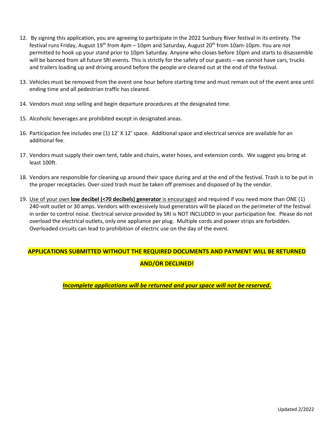- 12. By signing this application, you are agreeing to participate in the 2022 Sunbury River festival in its entirety. The festival runs Friday, August 19<sup>th</sup> from 4pm – 10pm and Saturday, August 20<sup>th</sup> from 10am-10pm. You are not permitted to hook up your stand prior to 10pm Saturday. Anyone who closes before 10pm and starts to disassemble will be banned from all future SRI events. This is strictly for the safety of our guests – we cannot have cars, trucks and trailers loading up and driving around before the people are cleared out at the end of the festival.
- 13. Vehicles must be removed from the event one hour before starting time and must remain out of the event area until ending time and all pedestrian traffic has cleared.
- 14. Vendors must stop selling and begin departure procedures at the designated time.
- 15. Alcoholic beverages are prohibited except in designated areas.
- 16. Participation fee includes one (1) 12' X 12' space. Additional space and electrical service are available for an additional fee.
- 17. Vendors must supply their own tent, table and chairs, water hoses, and extension cords. We suggest you bring at least 100ft.
- 18. Vendors are responsible for cleaning up around their space during and at the end of the festival. Trash is to be put in the proper receptacles. Over-sized trash must be taken off premises and disposed of by the vendor.
- 19. Use of your own **low decibel (<70 decibels) generator** is encouraged and required if you need more than ONE (1) 240-volt outlet or 30 amps. Vendors with excessively loud generators will be placed on the perimeter of the festival in order to control noise. Electrical service provided by SRI is NOT INCLUDED in your participation fee. Please do not overload the electrical outlets, only one appliance per plug. Multiple cords and power strips are forbidden. Overloaded circuits can lead to prohibition of electric use on the day of the event.

## **APPLICATIONS SUBMITTED WITHOUT THE REQUIRED DOCUMENTS AND PAYMENT WILL BE RETURNED AND/OR DECLINED!**

*Incomplete applications will be returned and your space will not be reserved.*